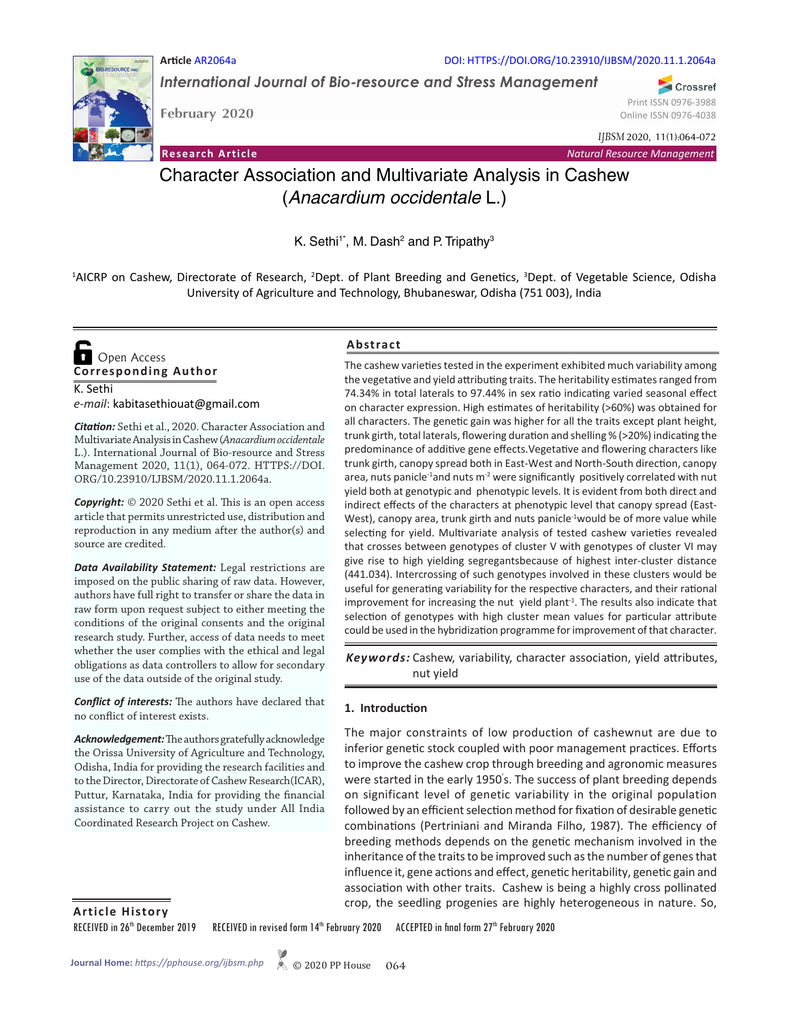

*International Journal of Bio-resource and Stress Management*

**RESOURCE AND** 

**February 2020**

**Article** AR2064a

Crossref Print ISSN 0976-3988 Online ISSN 0976-4038

**Research Article** *Natural Resource Management*

*IJBSM* 2020, 11(1):064-072

# Character Association and Multivariate Analysis in Cashew (*Anacardium occidentale* L.)

K. Sethi<sup>1\*</sup>, M. Dash<sup>2</sup> and P. Tripathy<sup>3</sup>

<sup>1</sup>AICRP on Cashew, Directorate of Research, <sup>2</sup>Dept. of Plant Breeding and Genetics, <sup>3</sup>Dept. of Vegetable Science, Odisha University of Agriculture and Technology, Bhubaneswar, Odisha (751 003), India

K. Sethi **Corresponding Author**  Open Access

*e-mail*: kabitasethiouat@gmail.com

*Citation:* Sethi et al., 2020. Character Association and Multivariate Analysis in Cashew (*Anacardium occidentale* L.). International Journal of Bio-resource and Stress Management 2020, 11(1), 064-072. HTTPS://DOI. ORG/10.23910/IJBSM/2020.11.1.2064a.

*Copyright:* © 2020 Sethi et al. This is an open access article that permits unrestricted use, distribution and reproduction in any medium after the author(s) and source are credited.

*Data Availability Statement:* Legal restrictions are imposed on the public sharing of raw data. However, authors have full right to transfer or share the data in raw form upon request subject to either meeting the conditions of the original consents and the original research study. Further, access of data needs to meet whether the user complies with the ethical and legal obligations as data controllers to allow for secondary use of the data outside of the original study.

*Conflict of interests:* The authors have declared that no conflict of interest exists.

*Acknowledgement:* The authors gratefully acknowledge the Orissa University of Agriculture and Technology, Odisha, India for providing the research facilities and to the Director, Directorate of Cashew Research(ICAR), Puttur, Karnataka, India for providing the financial assistance to carry out the study under All India Coordinated Research Project on Cashew.

# **Abstract**

The cashew varieties tested in the experiment exhibited much variability among the vegetative and yield attributing traits. The heritability estimates ranged from 74.34% in total laterals to 97.44% in sex ratio indicating varied seasonal effect on character expression. High estimates of heritability (>60%) was obtained for all characters. The genetic gain was higher for all the traits except plant height, trunk girth, total laterals, flowering duration and shelling % (>20%) indicating the predominance of additive gene effects.Vegetative and flowering characters like trunk girth, canopy spread both in East-West and North-South direction, canopy area, nuts panicle<sup>-1</sup>and nuts m<sup>-2</sup> were significantly positively correlated with nut yield both at genotypic and phenotypic levels. It is evident from both direct and indirect effects of the characters at phenotypic level that canopy spread (East-West), canopy area, trunk girth and nuts panicle<sup>-1</sup>would be of more value while selecting for yield. Multivariate analysis of tested cashew varieties revealed that crosses between genotypes of cluster V with genotypes of cluster VI may give rise to high yielding segregantsbecause of highest inter-cluster distance (441.034). Intercrossing of such genotypes involved in these clusters would be useful for generating variability for the respective characters, and their rational improvement for increasing the nut yield plant<sup>-1</sup>. The results also indicate that selection of genotypes with high cluster mean values for particular attribute could be used in the hybridization programme for improvement of that character.

Keywords: Cashew, variability, character association, yield attributes, nut yield

# **1. Introduction**

The major constraints of low production of cashewnut are due to inferior genetic stock coupled with poor management practices. Efforts to improve the cashew crop through breeding and agronomic measures were started in the early 1950' s. The success of plant breeding depends on significant level of genetic variability in the original population followed by an efficient selection method for fixation of desirable genetic combinations (Pertriniani and Miranda Filho, 1987). The efficiency of breeding methods depends on the genetic mechanism involved in the inheritance of the traits to be improved such as the number of genes that influence it, gene actions and effect, genetic heritability, genetic gain and association with other traits. Cashew is being a highly cross pollinated crop, the seedling progenies are highly heterogeneous in nature. So, **Article History**

RECEIVED in 26<sup>th</sup> December 2019 RECEIVED in revised form 14<sup>th</sup> February 2020 ACCEPTED in final form 27<sup>th</sup> February 2020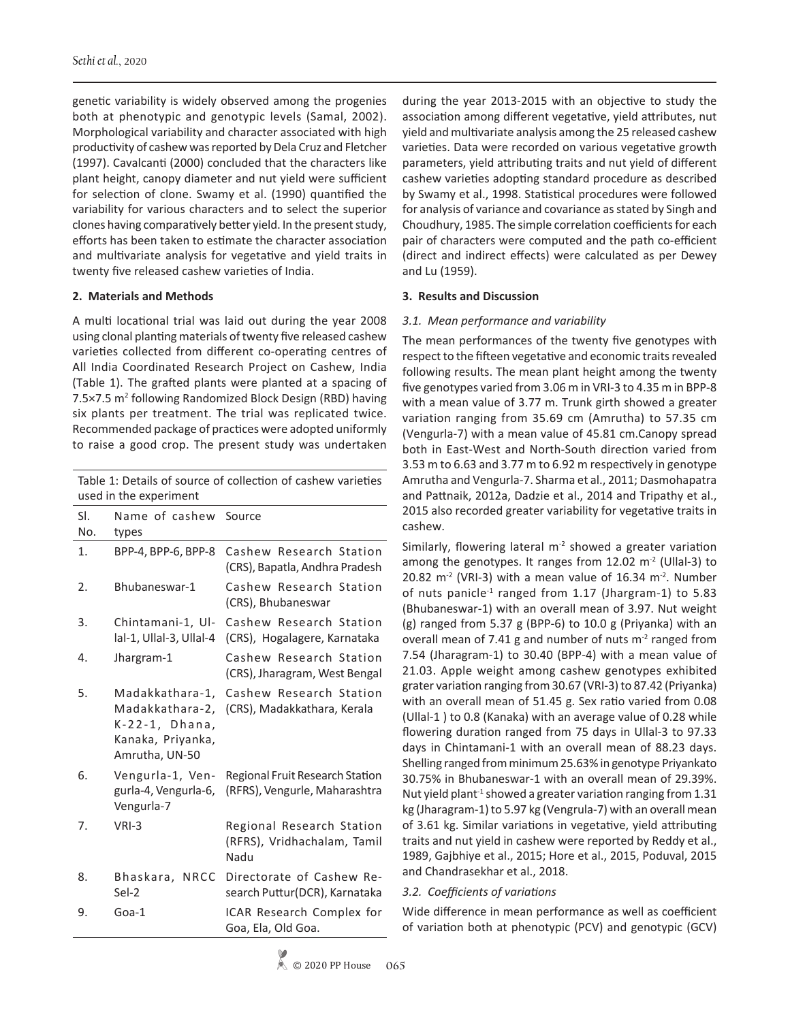genetic variability is widely observed among the progenies both at phenotypic and genotypic levels (Samal, 2002). Morphological variability and character associated with high productivity of cashew was reported by Dela Cruz and Fletcher (1997). Cavalcanti (2000) concluded that the characters like plant height, canopy diameter and nut yield were sufficient for selection of clone. Swamy et al. (1990) quantified the variability for various characters and to select the superior clones having comparatively better yield. In the present study, efforts has been taken to estimate the character association and multivariate analysis for vegetative and yield traits in twenty five released cashew varieties of India.

# **2. Materials and Methods**

A multi locational trial was laid out during the year 2008 using clonal planting materials of twenty five released cashew varieties collected from different co-operating centres of All India Coordinated Research Project on Cashew, India (Table 1). The grafted plants were planted at a spacing of 7.5×7.5 m<sup>2</sup> following Randomized Block Design (RBD) having six plants per treatment. The trial was replicated twice. Recommended package of practices were adopted uniformly to raise a good crop. The present study was undertaken

Table 1: Details of source of collection of cashew varieties used in the experiment

| SI.<br>No. | Name of cashew Source<br>types                                                              |                                                                         |
|------------|---------------------------------------------------------------------------------------------|-------------------------------------------------------------------------|
| 1.         | BPP-4, BPP-6, BPP-8                                                                         | Cashew Research Station<br>(CRS), Bapatla, Andhra Pradesh               |
| 2.         | Bhubaneswar-1                                                                               | Cashew Research Station<br>(CRS), Bhubaneswar                           |
| 3.         | Chintamani-1, Ul-<br>lal-1, Ullal-3, Ullal-4                                                | Cashew Research Station<br>(CRS), Hogalagere, Karnataka                 |
| 4.         | Jhargram-1                                                                                  | Cashew Research Station<br>(CRS), Jharagram, West Bengal                |
| 5.         | Madakkathara-1,<br>Madakkathara-2,<br>K-22-1, Dhana,<br>Kanaka, Priyanka,<br>Amrutha, UN-50 | Cashew Research Station<br>(CRS), Madakkathara, Kerala                  |
| 6.         | Vengurla-1, Ven-<br>gurla-4, Vengurla-6,<br>Vengurla-7                                      | <b>Regional Fruit Research Station</b><br>(RFRS), Vengurle, Maharashtra |
| 7.         | VRI-3                                                                                       | Regional Research Station<br>(RFRS), Vridhachalam, Tamil<br>Nadu        |
| 8.         | Bhaskara, NRCC<br>Sel-2                                                                     | Directorate of Cashew Re-<br>search Puttur(DCR), Karnataka              |
| 9.         | Goa-1                                                                                       | ICAR Research Complex for<br>Goa, Ela, Old Goa.                         |
|            |                                                                                             |                                                                         |

during the year 2013-2015 with an objective to study the association among different vegetative, yield attributes, nut yield and multivariate analysis among the 25 released cashew varieties. Data were recorded on various vegetative growth parameters, yield attributing traits and nut yield of different cashew varieties adopting standard procedure as described by Swamy et al., 1998. Statistical procedures were followed for analysis of variance and covariance as stated by Singh and Choudhury, 1985. The simple correlation coefficients for each pair of characters were computed and the path co-efficient (direct and indirect effects) were calculated as per Dewey and Lu (1959).

# **3. Results and Discussion**

# *3.1. Mean performance and variability*

The mean performances of the twenty five genotypes with respect to the fifteen vegetative and economic traits revealed following results. The mean plant height among the twenty five genotypes varied from 3.06 m in VRI-3 to 4.35 m in BPP-8 with a mean value of 3.77 m. Trunk girth showed a greater variation ranging from 35.69 cm (Amrutha) to 57.35 cm (Vengurla-7) with a mean value of 45.81 cm.Canopy spread both in East-West and North-South direction varied from 3.53 m to 6.63 and 3.77 m to 6.92 m respectively in genotype Amrutha and Vengurla-7. Sharma et al., 2011; Dasmohapatra and Pattnaik, 2012a, Dadzie et al., 2014 and Tripathy et al., 2015 also recorded greater variability for vegetative traits in cashew.

Similarly, flowering lateral  $m<sup>2</sup>$  showed a greater variation among the genotypes. It ranges from  $12.02 \text{ m}^2$  (Ullal-3) to 20.82 m<sup>-2</sup> (VRI-3) with a mean value of 16.34 m<sup>-2</sup>. Number of nuts panicle<sup>-1</sup> ranged from 1.17 (Jhargram-1) to 5.83 (Bhubaneswar-1) with an overall mean of 3.97. Nut weight (g) ranged from 5.37 g (BPP-6) to 10.0 g (Priyanka) with an overall mean of 7.41 g and number of nuts  $m<sup>2</sup>$  ranged from 7.54 (Jharagram-1) to 30.40 (BPP-4) with a mean value of 21.03. Apple weight among cashew genotypes exhibited grater variation ranging from 30.67 (VRI-3) to 87.42 (Priyanka) with an overall mean of 51.45 g. Sex ratio varied from 0.08 (Ullal-1 ) to 0.8 (Kanaka) with an average value of 0.28 while flowering duration ranged from 75 days in Ullal-3 to 97.33 days in Chintamani-1 with an overall mean of 88.23 days. Shelling ranged from minimum 25.63% in genotype Priyankato 30.75% in Bhubaneswar-1 with an overall mean of 29.39%. Nut yield plant<sup>-1</sup> showed a greater variation ranging from  $1.31$ kg (Jharagram-1) to 5.97 kg (Vengrula-7) with an overall mean of 3.61 kg. Similar variations in vegetative, yield attributing traits and nut yield in cashew were reported by Reddy et al., 1989, Gajbhiye et al., 2015; Hore et al., 2015, Poduval, 2015 and Chandrasekhar et al., 2018.

# *3.2. Coefficients of variations*

Wide difference in mean performance as well as coefficient of variation both at phenotypic (PCV) and genotypic (GCV)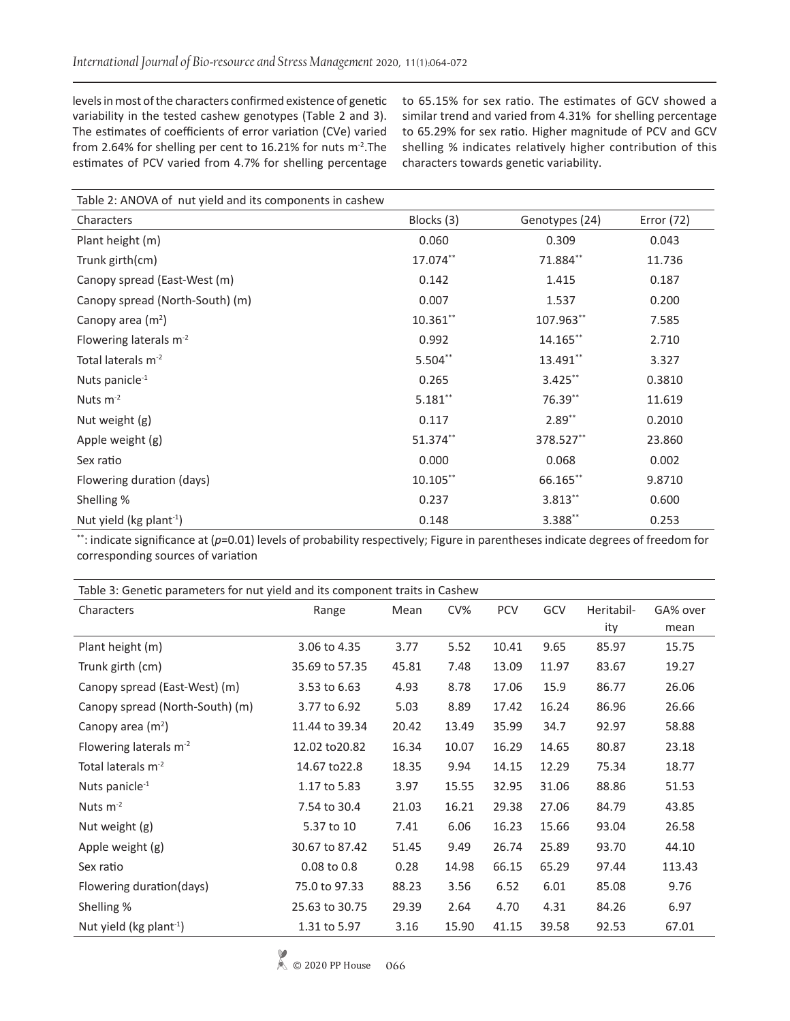levels in most of the characters confirmed existence of genetic variability in the tested cashew genotypes (Table 2 and 3). The estimates of coefficients of error variation (CVe) varied from 2.64% for shelling per cent to 16.21% for nuts m-2.The estimates of PCV varied from 4.7% for shelling percentage

to 65.15% for sex ratio. The estimates of GCV showed a similar trend and varied from 4.31% for shelling percentage to 65.29% for sex ratio. Higher magnitude of PCV and GCV shelling % indicates relatively higher contribution of this characters towards genetic variability.

| Table 2: ANOVA of nut yield and its components in cashew |             |                |            |  |  |  |
|----------------------------------------------------------|-------------|----------------|------------|--|--|--|
| Characters                                               | Blocks (3)  | Genotypes (24) | Error (72) |  |  |  |
| Plant height (m)                                         | 0.060       | 0.309          | 0.043      |  |  |  |
| Trunk girth(cm)                                          | 17.074**    | 71.884**       | 11.736     |  |  |  |
| Canopy spread (East-West (m)                             | 0.142       | 1.415          | 0.187      |  |  |  |
| Canopy spread (North-South) (m)                          | 0.007       | 1.537          | 0.200      |  |  |  |
| Canopy area $(m2)$                                       | 10.361**    | 107.963**      | 7.585      |  |  |  |
| Flowering laterals $m^{-2}$                              | 0.992       | 14.165**       | 2.710      |  |  |  |
| Total laterals m <sup>-2</sup>                           | 5.504**     | 13.491**       | 3.327      |  |  |  |
| Nuts panicle <sup>-1</sup>                               | 0.265       | $3.425***$     | 0.3810     |  |  |  |
| Nuts $m^{-2}$                                            | $5.181***$  | 76.39**        | 11.619     |  |  |  |
| Nut weight (g)                                           | 0.117       | $2.89**$       | 0.2010     |  |  |  |
| Apple weight (g)                                         | 51.374**    | 378.527**      | 23.860     |  |  |  |
| Sex ratio                                                | 0.000       | 0.068          | 0.002      |  |  |  |
| Flowering duration (days)                                | $10.105***$ | 66.165**       | 9.8710     |  |  |  |
| Shelling %                                               | 0.237       | 3.813**        | 0.600      |  |  |  |
| Nut yield (kg plant <sup>-1</sup> )                      | 0.148       | 3.388**        | 0.253      |  |  |  |

\*\*: indicate significance at (p=0.01) levels of probability respectively; Figure in parentheses indicate degrees of freedom for corresponding sources of variation

| Table 3: Genetic parameters for nut yield and its component traits in Cashew |                |       |        |            |       |            |          |  |
|------------------------------------------------------------------------------|----------------|-------|--------|------------|-------|------------|----------|--|
| Characters                                                                   | Range          | Mean  | $CV\%$ | <b>PCV</b> | GCV   | Heritabil- | GA% over |  |
|                                                                              |                |       |        |            |       | ity        | mean     |  |
| Plant height (m)                                                             | 3.06 to 4.35   | 3.77  | 5.52   | 10.41      | 9.65  | 85.97      | 15.75    |  |
| Trunk girth (cm)                                                             | 35.69 to 57.35 | 45.81 | 7.48   | 13.09      | 11.97 | 83.67      | 19.27    |  |
| Canopy spread (East-West) (m)                                                | 3.53 to 6.63   | 4.93  | 8.78   | 17.06      | 15.9  | 86.77      | 26.06    |  |
| Canopy spread (North-South) (m)                                              | 3.77 to 6.92   | 5.03  | 8.89   | 17.42      | 16.24 | 86.96      | 26.66    |  |
| Canopy area $(m^2)$                                                          | 11.44 to 39.34 | 20.42 | 13.49  | 35.99      | 34.7  | 92.97      | 58.88    |  |
| Flowering laterals m <sup>-2</sup>                                           | 12.02 to 20.82 | 16.34 | 10.07  | 16.29      | 14.65 | 80.87      | 23.18    |  |
| Total laterals $m-2$                                                         | 14.67 to 22.8  | 18.35 | 9.94   | 14.15      | 12.29 | 75.34      | 18.77    |  |
| Nuts panicle <sup>-1</sup>                                                   | 1.17 to 5.83   | 3.97  | 15.55  | 32.95      | 31.06 | 88.86      | 51.53    |  |
| Nuts $m-2$                                                                   | 7.54 to 30.4   | 21.03 | 16.21  | 29.38      | 27.06 | 84.79      | 43.85    |  |
| Nut weight (g)                                                               | 5.37 to 10     | 7.41  | 6.06   | 16.23      | 15.66 | 93.04      | 26.58    |  |
| Apple weight (g)                                                             | 30.67 to 87.42 | 51.45 | 9.49   | 26.74      | 25.89 | 93.70      | 44.10    |  |
| Sex ratio                                                                    | 0.08 to 0.8    | 0.28  | 14.98  | 66.15      | 65.29 | 97.44      | 113.43   |  |
| Flowering duration(days)                                                     | 75.0 to 97.33  | 88.23 | 3.56   | 6.52       | 6.01  | 85.08      | 9.76     |  |
| Shelling %                                                                   | 25.63 to 30.75 | 29.39 | 2.64   | 4.70       | 4.31  | 84.26      | 6.97     |  |
| Nut yield ( $kg$ plant <sup>-1</sup> )                                       | 1.31 to 5.97   | 3.16  | 15.90  | 41.15      | 39.58 | 92.53      | 67.01    |  |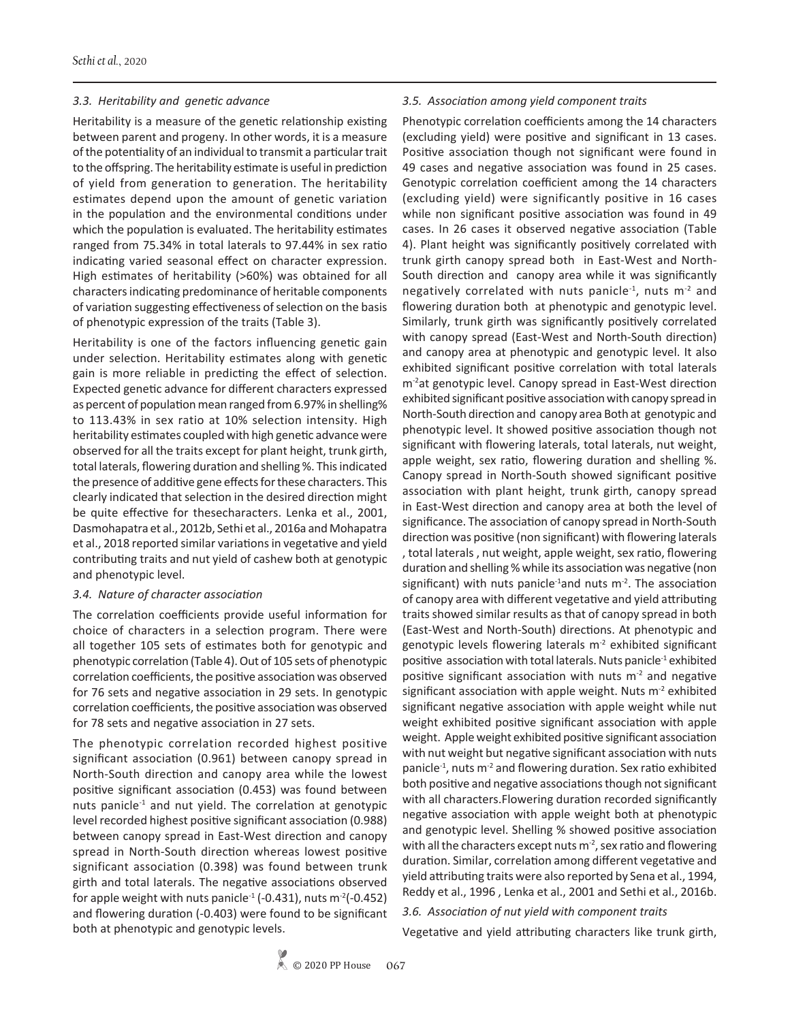#### *3.3. Heritability and genetic advance*

Heritability is a measure of the genetic relationship existing between parent and progeny. In other words, it is a measure of the potentiality of an individual to transmit a particular trait to the offspring. The heritability estimate is useful in prediction of yield from generation to generation. The heritability estimates depend upon the amount of genetic variation in the population and the environmental conditions under which the population is evaluated. The heritability estimates ranged from 75.34% in total laterals to 97.44% in sex ratio indicating varied seasonal effect on character expression. High estimates of heritability (>60%) was obtained for all characters indicating predominance of heritable components of variation suggesting effectiveness of selection on the basis of phenotypic expression of the traits (Table 3).

Heritability is one of the factors influencing genetic gain under selection. Heritability estimates along with genetic gain is more reliable in predicting the effect of selection. Expected genetic advance for different characters expressed as percent of population mean ranged from 6.97% in shelling% to 113.43% in sex ratio at 10% selection intensity. High heritability estimates coupled with high genetic advance were observed for all the traits except for plant height, trunk girth, total laterals, flowering duration and shelling %. This indicated the presence of additive gene effects for these characters. This clearly indicated that selection in the desired direction might be quite effective for thesecharacters. Lenka et al., 2001, Dasmohapatra et al., 2012b, Sethi et al., 2016a and Mohapatra et al., 2018 reported similar variations in vegetative and yield contributing traits and nut yield of cashew both at genotypic and phenotypic level.

#### *3.4. Nature of character association*

The correlation coefficients provide useful information for choice of characters in a selection program. There were all together 105 sets of estimates both for genotypic and phenotypic correlation (Table 4). Out of 105 sets of phenotypic correlation coefficients, the positive association was observed for 76 sets and negative association in 29 sets. In genotypic correlation coefficients, the positive association was observed for 78 sets and negative association in 27 sets.

The phenotypic correlation recorded highest positive significant association (0.961) between canopy spread in North-South direction and canopy area while the lowest positive significant association (0.453) was found between nuts panicle $<sup>1</sup>$  and nut yield. The correlation at genotypic</sup> level recorded highest positive significant association (0.988) between canopy spread in East-West direction and canopy spread in North-South direction whereas lowest positive significant association (0.398) was found between trunk girth and total laterals. The negative associations observed for apple weight with nuts panicle<sup>-1</sup> (-0.431), nuts m<sup>-2</sup>(-0.452) and flowering duration (-0.403) were found to be significant both at phenotypic and genotypic levels.

#### *3.5. Association among yield component traits*

Phenotypic correlation coefficients among the 14 characters (excluding yield) were positive and significant in 13 cases. Positive association though not significant were found in 49 cases and negative association was found in 25 cases. Genotypic correlation coefficient among the 14 characters (excluding yield) were significantly positive in 16 cases while non significant positive association was found in 49 cases. In 26 cases it observed negative association (Table 4). Plant height was significantly positively correlated with trunk girth canopy spread both in East-West and North-South direction and canopy area while it was significantly negatively correlated with nuts panicle<sup>-1</sup>, nuts  $m<sup>-2</sup>$  and flowering duration both at phenotypic and genotypic level. Similarly, trunk girth was significantly positively correlated with canopy spread (East-West and North-South direction) and canopy area at phenotypic and genotypic level. It also exhibited significant positive correlation with total laterals m<sup>-2</sup>at genotypic level. Canopy spread in East-West direction exhibited significant positive association with canopy spread in North-South direction and canopy area Both at genotypic and phenotypic level. It showed positive association though not significant with flowering laterals, total laterals, nut weight, apple weight, sex ratio, flowering duration and shelling %. Canopy spread in North-South showed significant positive association with plant height, trunk girth, canopy spread in East-West direction and canopy area at both the level of significance. The association of canopy spread in North-South direction was positive (non significant) with flowering laterals , total laterals , nut weight, apple weight, sex ratio, flowering duration and shelling % while its association was negative (non significant) with nuts panicle<sup>-1</sup>and nuts  $m<sup>-2</sup>$ . The association of canopy area with different vegetative and yield attributing traits showed similar results as that of canopy spread in both (East-West and North-South) directions. At phenotypic and genotypic levels flowering laterals  $m<sup>2</sup>$  exhibited significant positive association with total laterals. Nuts panicle-1 exhibited positive significant association with nuts  $m<sup>2</sup>$  and negative significant association with apple weight. Nuts  $m<sup>2</sup>$  exhibited significant negative association with apple weight while nut weight exhibited positive significant association with apple weight. Apple weight exhibited positive significant association with nut weight but negative significant association with nuts panicle<sup>-1</sup>, nuts m<sup>-2</sup> and flowering duration. Sex ratio exhibited both positive and negative associations though not significant with all characters.Flowering duration recorded significantly negative association with apple weight both at phenotypic and genotypic level. Shelling % showed positive association with all the characters except nuts  $m<sup>2</sup>$ , sex ratio and flowering duration. Similar, correlation among different vegetative and yield attributing traits were also reported by Sena et al., 1994, Reddy et al., 1996 , Lenka et al., 2001 and Sethi et al., 2016b.

#### *3.6. Association of nut yield with component traits*

Vegetative and yield attributing characters like trunk girth,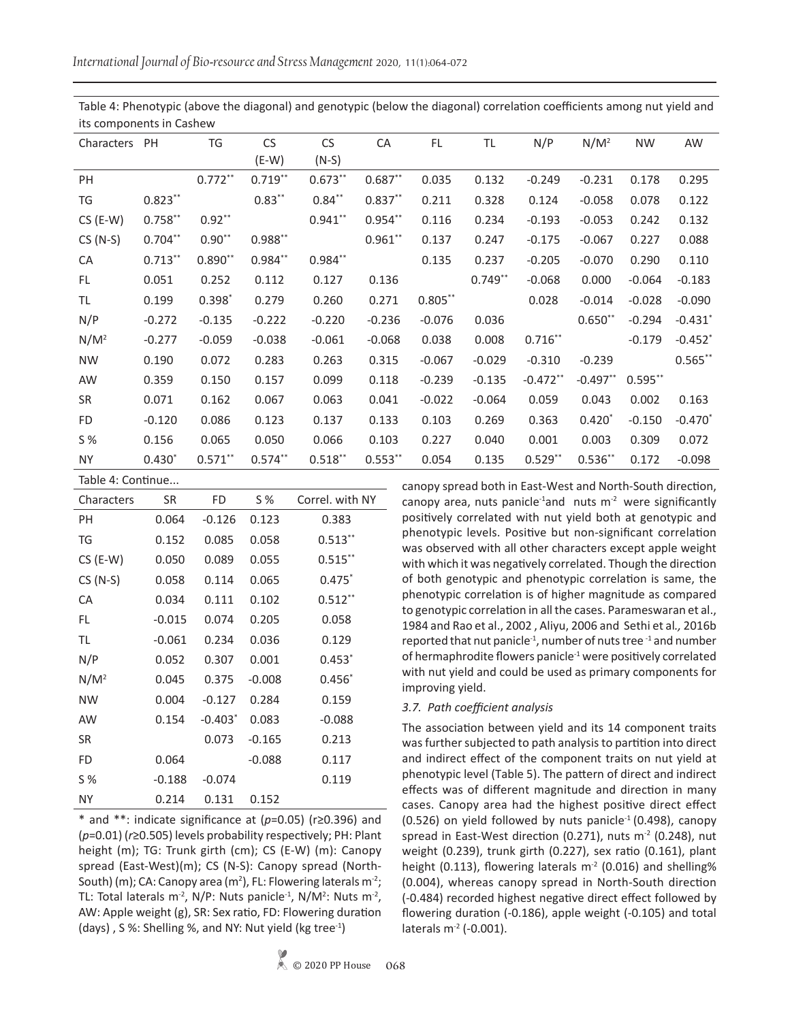Table 4: Phenotypic (above the diagonal) and genotypic (below the diagonal) correlation coefficients among nut yield and its components in Cashew

| Characters PH |            | TG         | <b>CS</b>  | <b>CS</b>  | CA        | FL         | TL        | N/P        | $N/M^2$    | <b>NW</b> | AW         |
|---------------|------------|------------|------------|------------|-----------|------------|-----------|------------|------------|-----------|------------|
|               |            |            | $(E-W)$    | $(N-S)$    |           |            |           |            |            |           |            |
| PH            |            | $0.772**$  | $0.719***$ | $0.673**$  | $0.687**$ | 0.035      | 0.132     | $-0.249$   | $-0.231$   | 0.178     | 0.295      |
| TG            | $0.823***$ |            | $0.83***$  | $0.84**$   | $0.837**$ | 0.211      | 0.328     | 0.124      | $-0.058$   | 0.078     | 0.122      |
| $CS$ (E-W)    | $0.758***$ | $0.92**$   |            | $0.941***$ | $0.954**$ | 0.116      | 0.234     | $-0.193$   | $-0.053$   | 0.242     | 0.132      |
| $CS(N-S)$     | $0.704***$ | $0.90**$   | $0.988**$  |            | $0.961**$ | 0.137      | 0.247     | $-0.175$   | $-0.067$   | 0.227     | 0.088      |
| CA            | $0.713***$ | $0.890**$  | $0.984**$  | $0.984**$  |           | 0.135      | 0.237     | $-0.205$   | $-0.070$   | 0.290     | 0.110      |
| FL            | 0.051      | 0.252      | 0.112      | 0.127      | 0.136     |            | $0.749**$ | $-0.068$   | 0.000      | $-0.064$  | $-0.183$   |
| TL            | 0.199      | $0.398*$   | 0.279      | 0.260      | 0.271     | $0.805***$ |           | 0.028      | $-0.014$   | $-0.028$  | $-0.090$   |
| N/P           | $-0.272$   | $-0.135$   | $-0.222$   | $-0.220$   | $-0.236$  | $-0.076$   | 0.036     |            | $0.650**$  | $-0.294$  | $-0.431$ * |
| $N/M^2$       | $-0.277$   | $-0.059$   | $-0.038$   | $-0.061$   | $-0.068$  | 0.038      | 0.008     | $0.716**$  |            | $-0.179$  | $-0.452$ * |
| <b>NW</b>     | 0.190      | 0.072      | 0.283      | 0.263      | 0.315     | $-0.067$   | $-0.029$  | $-0.310$   | $-0.239$   |           | $0.565***$ |
| AW            | 0.359      | 0.150      | 0.157      | 0.099      | 0.118     | $-0.239$   | $-0.135$  | $-0.472**$ | $-0.497**$ | $0.595**$ |            |
| <b>SR</b>     | 0.071      | 0.162      | 0.067      | 0.063      | 0.041     | $-0.022$   | $-0.064$  | 0.059      | 0.043      | 0.002     | 0.163      |
| FD            | $-0.120$   | 0.086      | 0.123      | 0.137      | 0.133     | 0.103      | 0.269     | 0.363      | $0.420*$   | $-0.150$  | $-0.470*$  |
| S %           | 0.156      | 0.065      | 0.050      | 0.066      | 0.103     | 0.227      | 0.040     | 0.001      | 0.003      | 0.309     | 0.072      |
| <b>NY</b>     | $0.430*$   | $0.571***$ | $0.574***$ | $0.518**$  | $0.553**$ | 0.054      | 0.135     | $0.529**$  | $0.536**$  | 0.172     | $-0.098$   |
|               |            |            |            |            |           |            |           |            |            |           |            |

| Table 4: Continue |          |           |          |                 |  |  |  |
|-------------------|----------|-----------|----------|-----------------|--|--|--|
| Characters        | SR       | FD        | S %      | Correl. with NY |  |  |  |
| PН                | 0.064    | $-0.126$  | 0.123    | 0.383           |  |  |  |
| TG                | 0.152    | 0.085     | 0.058    | $0.513**$       |  |  |  |
| $CS$ (E-W)        | 0.050    | 0.089     | 0.055    | $0.515***$      |  |  |  |
| $CS(N-S)$         | 0.058    | 0.114     | 0.065    | $0.475*$        |  |  |  |
| CA                | 0.034    | 0.111     | 0.102    | $0.512**$       |  |  |  |
| FL                | $-0.015$ | 0.074     | 0.205    | 0.058           |  |  |  |
| TL                | $-0.061$ | 0.234     | 0.036    | 0.129           |  |  |  |
| N/P               | 0.052    | 0.307     | 0.001    | $0.453*$        |  |  |  |
| $N/M^2$           | 0.045    | 0.375     | $-0.008$ | $0.456*$        |  |  |  |
| <b>NW</b>         | 0.004    | $-0.127$  | 0.284    | 0.159           |  |  |  |
| AW                | 0.154    | $-0.403*$ | 0.083    | $-0.088$        |  |  |  |
| <b>SR</b>         |          | 0.073     | $-0.165$ | 0.213           |  |  |  |
| <b>FD</b>         | 0.064    |           | $-0.088$ | 0.117           |  |  |  |
| S %               | $-0.188$ | $-0.074$  |          | 0.119           |  |  |  |
| <b>NY</b>         | 0.214    | 0.131     | 0.152    |                 |  |  |  |

\* and \*\*: indicate significance at (*p*=0.05) (r≥0.396) and (*p*=0.01) (*r*≥0.505) levels probability respectively; PH: Plant height (m); TG: Trunk girth (cm); CS (E-W) (m): Canopy spread (East-West)(m); CS (N-S): Canopy spread (North-South) (m); CA: Canopy area (m<sup>2</sup>), FL: Flowering laterals m<sup>-2</sup>; TL: Total laterals  $m^2$ , N/P: Nuts panicle<sup>-1</sup>, N/M<sup>2</sup>: Nuts  $m^2$ , AW: Apple weight (g), SR: Sex ratio, FD: Flowering duration (days) , S %: Shelling %, and NY: Nut yield (kg tree-1)

laterals m-2 (-0.001).

canopy spread both in East-West and North-South direction, canopy area, nuts panicle<sup>-1</sup>and nuts  $m<sup>-2</sup>$  were significantly positively correlated with nut yield both at genotypic and phenotypic levels. Positive but non-significant correlation was observed with all other characters except apple weight with which it was negatively correlated. Though the direction of both genotypic and phenotypic correlation is same, the phenotypic correlation is of higher magnitude as compared to genotypic correlation in all the cases. Parameswaran et al., 1984 and Rao et al., 2002 , Aliyu, 2006 and Sethi et al*.,* 2016b reported that nut panicle $^{-1}$ , number of nuts tree  $^{-1}$  and number of hermaphrodite flowers panicle<sup>-1</sup> were positively correlated with nut yield and could be used as primary components for

# *3.7. Path coefficient analysis*

improving yield.

The association between yield and its 14 component traits was further subjected to path analysis to partition into direct and indirect effect of the component traits on nut yield at phenotypic level (Table 5). The pattern of direct and indirect effects was of different magnitude and direction in many cases. Canopy area had the highest positive direct effect  $(0.526)$  on yield followed by nuts panicle<sup>-1</sup> (0.498), canopy spread in East-West direction (0.271), nuts  $m<sup>2</sup>$  (0.248), nut weight (0.239), trunk girth (0.227), sex ratio (0.161), plant height (0.113), flowering laterals  $m<sup>2</sup>$  (0.016) and shelling% (0.004), whereas canopy spread in North-South direction (-0.484) recorded highest negative direct effect followed by flowering duration (-0.186), apple weight (-0.105) and total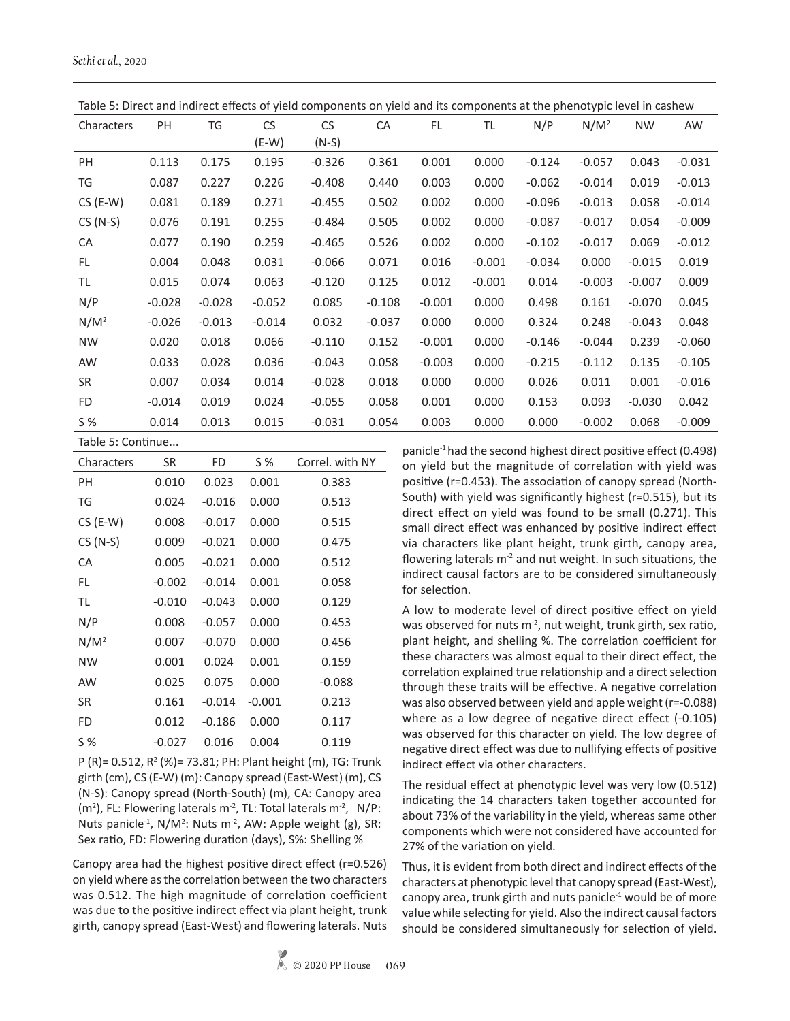*Sethi et al.*, 2020

| Table 5: Direct and indirect effects of yield components on yield and its components at the phenotypic level in cashew |          |          |           |           |          |           |          |          |          |           |                                                                       |
|------------------------------------------------------------------------------------------------------------------------|----------|----------|-----------|-----------|----------|-----------|----------|----------|----------|-----------|-----------------------------------------------------------------------|
| Characters                                                                                                             | PH       | TG       | <b>CS</b> | <b>CS</b> | CA       | <b>FL</b> | TL       | N/P      | $N/M^2$  | <b>NW</b> | AW                                                                    |
|                                                                                                                        |          |          | (E-W)     | $(N-S)$   |          |           |          |          |          |           |                                                                       |
| PH                                                                                                                     | 0.113    | 0.175    | 0.195     | $-0.326$  | 0.361    | 0.001     | 0.000    | $-0.124$ | $-0.057$ | 0.043     | $-0.031$                                                              |
| TG                                                                                                                     | 0.087    | 0.227    | 0.226     | $-0.408$  | 0.440    | 0.003     | 0.000    | $-0.062$ | $-0.014$ | 0.019     | $-0.013$                                                              |
| $CS$ (E-W)                                                                                                             | 0.081    | 0.189    | 0.271     | $-0.455$  | 0.502    | 0.002     | 0.000    | $-0.096$ | $-0.013$ | 0.058     | $-0.014$                                                              |
| $CS(N-S)$                                                                                                              | 0.076    | 0.191    | 0.255     | $-0.484$  | 0.505    | 0.002     | 0.000    | $-0.087$ | $-0.017$ | 0.054     | $-0.009$                                                              |
| CA                                                                                                                     | 0.077    | 0.190    | 0.259     | $-0.465$  | 0.526    | 0.002     | 0.000    | $-0.102$ | $-0.017$ | 0.069     | $-0.012$                                                              |
| FL                                                                                                                     | 0.004    | 0.048    | 0.031     | $-0.066$  | 0.071    | 0.016     | $-0.001$ | $-0.034$ | 0.000    | $-0.015$  | 0.019                                                                 |
| TL                                                                                                                     | 0.015    | 0.074    | 0.063     | $-0.120$  | 0.125    | 0.012     | $-0.001$ | 0.014    | $-0.003$ | $-0.007$  | 0.009                                                                 |
| N/P                                                                                                                    | $-0.028$ | $-0.028$ | $-0.052$  | 0.085     | $-0.108$ | $-0.001$  | 0.000    | 0.498    | 0.161    | $-0.070$  | 0.045                                                                 |
| $N/M^2$                                                                                                                | $-0.026$ | $-0.013$ | $-0.014$  | 0.032     | $-0.037$ | 0.000     | 0.000    | 0.324    | 0.248    | $-0.043$  | 0.048                                                                 |
| <b>NW</b>                                                                                                              | 0.020    | 0.018    | 0.066     | $-0.110$  | 0.152    | $-0.001$  | 0.000    | $-0.146$ | $-0.044$ | 0.239     | $-0.060$                                                              |
| AW                                                                                                                     | 0.033    | 0.028    | 0.036     | $-0.043$  | 0.058    | $-0.003$  | 0.000    | $-0.215$ | $-0.112$ | 0.135     | $-0.105$                                                              |
| <b>SR</b>                                                                                                              | 0.007    | 0.034    | 0.014     | $-0.028$  | 0.018    | 0.000     | 0.000    | 0.026    | 0.011    | 0.001     | $-0.016$                                                              |
| FD.                                                                                                                    | $-0.014$ | 0.019    | 0.024     | $-0.055$  | 0.058    | 0.001     | 0.000    | 0.153    | 0.093    | $-0.030$  | 0.042                                                                 |
| S%                                                                                                                     | 0.014    | 0.013    | 0.015     | $-0.031$  | 0.054    | 0.003     | 0.000    | 0.000    | $-0.002$ | 0.068     | $-0.009$                                                              |
| Table 5: Continue                                                                                                      |          |          |           |           |          |           |          |          |          | $\cdots$  | $\mathcal{C}$ $\mathcal{C}$ $\mathcal{C}$ $\mathcal{C}$ $\mathcal{A}$ |

| Correl, with NY<br>SR<br>FD<br>S %<br>Characters    |  |
|-----------------------------------------------------|--|
| 0.001<br>PH<br>0.010<br>0.023<br>0.383              |  |
| 0.000<br>TG<br>0.024<br>$-0.016$<br>0.513           |  |
| $CS$ (E-W)<br>0.000<br>0.008<br>$-0.017$<br>0.515   |  |
| $CS(N-S)$<br>0.009<br>0.000<br>$-0.021$<br>0.475    |  |
| 0.005<br>$-0.021$<br>0.000<br>0.512<br>CA           |  |
| $-0.002$<br>$-0.014$<br>0.001<br>0.058<br>FL        |  |
| 0.000<br>TL<br>$-0.010$<br>$-0.043$<br>0.129        |  |
| N/P<br>0.008<br>0.000<br>$-0.057$<br>0.453          |  |
| $N/M^2$<br>0.007<br>$-0.070$<br>0.000<br>0.456      |  |
| 0.001<br>0.001<br>NW<br>0.024<br>0.159              |  |
| 0.025<br>0.075<br>0.000<br>$-0.088$<br>AW           |  |
| 0.161<br>$-0.014$<br>$-0.001$<br><b>SR</b><br>0.213 |  |
| 0.000<br>FD<br>0.012<br>0.117<br>$-0.186$           |  |
| $-0.027$<br>0.016<br>0.004<br>0.119<br>S %          |  |

 $P(R) = 0.512$ ,  $R^2(S) = 73.81$ ; PH: Plant height (m), TG: Trunk girth (cm), CS (E-W) (m): Canopy spread (East-West) (m), CS (N-S): Canopy spread (North-South) (m), CA: Canopy area (m<sup>2</sup>), FL: Flowering laterals m<sup>-2</sup>, TL: Total laterals m<sup>-2</sup>, N/P: Nuts panicle<sup>-1</sup>, N/M<sup>2</sup>: Nuts m<sup>-2</sup>, AW: Apple weight (g), SR: Sex ratio, FD: Flowering duration (days), S%: Shelling %

Canopy area had the highest positive direct effect (r=0.526) on yield where as the correlation between the two characters was 0.512. The high magnitude of correlation coefficient was due to the positive indirect effect via plant height, trunk girth, canopy spread (East-West) and flowering laterals. Nuts

panicle<sup>-1</sup> had the second highest direct positive effect (0.498) on yield but the magnitude of correlation with yield was positive (r=0.453). The association of canopy spread (North-South) with yield was significantly highest (r=0.515), but its direct effect on yield was found to be small (0.271). This small direct effect was enhanced by positive indirect effect via characters like plant height, trunk girth, canopy area, flowering laterals  $m<sup>2</sup>$  and nut weight. In such situations, the indirect causal factors are to be considered simultaneously for selection.

A low to moderate level of direct positive effect on yield was observed for nuts  $m<sup>2</sup>$ , nut weight, trunk girth, sex ratio, plant height, and shelling %. The correlation coefficient for these characters was almost equal to their direct effect, the correlation explained true relationship and a direct selection through these traits will be effective. A negative correlation was also observed between yield and apple weight (r=-0.088) where as a low degree of negative direct effect (-0.105) was observed for this character on yield. The low degree of negative direct effect was due to nullifying effects of positive indirect effect via other characters.

The residual effect at phenotypic level was very low (0.512) indicating the 14 characters taken together accounted for about 73% of the variability in the yield, whereas same other components which were not considered have accounted for 27% of the variation on yield.

Thus, it is evident from both direct and indirect effects of the characters at phenotypic level that canopy spread (East-West), canopy area, trunk girth and nuts panicle<sup>-1</sup> would be of more value while selecting for yield. Also the indirect causal factors should be considered simultaneously for selection of yield.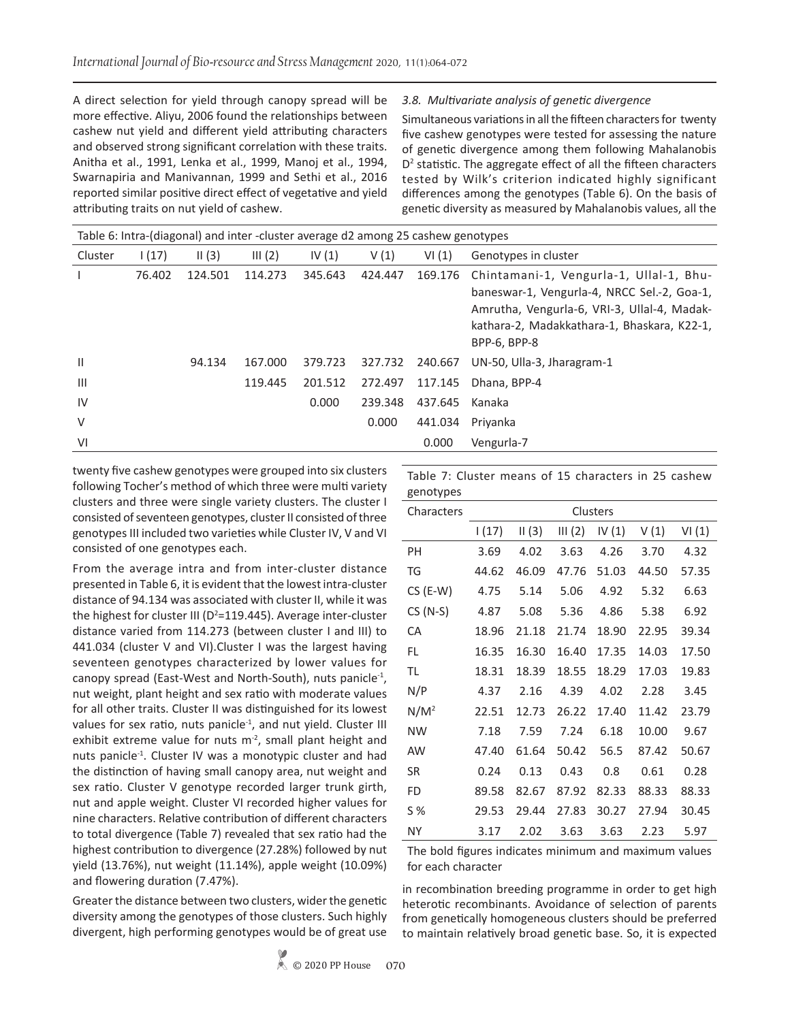A direct selection for yield through canopy spread will be more effective. Aliyu, 2006 found the relationships between cashew nut yield and different yield attributing characters and observed strong significant correlation with these traits. Anitha et al., 1991, Lenka et al., 1999, Manoj et al., 1994, Swarnapiria and Manivannan, 1999 and Sethi et al., 2016 reported similar positive direct effect of vegetative and yield attributing traits on nut yield of cashew.

### *3.8. Multivariate analysis of genetic divergence*

Simultaneous variations in all the fifteen characters for twenty five cashew genotypes were tested for assessing the nature of genetic divergence among them following Mahalanobis D<sup>2</sup> statistic. The aggregate effect of all the fifteen characters tested by Wilk's criterion indicated highly significant differences among the genotypes (Table 6). On the basis of genetic diversity as measured by Mahalanobis values, all the

| Table 6: Intra-(diagonal) and inter -cluster average d2 among 25 cashew genotypes |        |         |         |          |         |         |                                                                                                                                                                                                      |  |
|-----------------------------------------------------------------------------------|--------|---------|---------|----------|---------|---------|------------------------------------------------------------------------------------------------------------------------------------------------------------------------------------------------------|--|
| Cluster                                                                           | 1(17)  | II(3)   | III(2)  | IV $(1)$ | V(1)    | VI(1)   | Genotypes in cluster                                                                                                                                                                                 |  |
|                                                                                   | 76.402 | 124.501 | 114.273 | 345.643  | 424.447 | 169.176 | Chintamani-1, Vengurla-1, Ullal-1, Bhu-<br>baneswar-1, Vengurla-4, NRCC Sel.-2, Goa-1,<br>Amrutha, Vengurla-6, VRI-3, Ullal-4, Madak-<br>kathara-2, Madakkathara-1, Bhaskara, K22-1,<br>BPP-6, BPP-8 |  |
| $\mathbf{H}$                                                                      |        | 94.134  | 167.000 | 379.723  | 327.732 | 240.667 | UN-50, Ulla-3, Jharagram-1                                                                                                                                                                           |  |
| $\mathbf{III}$                                                                    |        |         | 119.445 | 201.512  | 272.497 | 117.145 | Dhana, BPP-4                                                                                                                                                                                         |  |
| IV                                                                                |        |         |         | 0.000    | 239.348 | 437.645 | Kanaka                                                                                                                                                                                               |  |
| $\vee$                                                                            |        |         |         |          | 0.000   | 441.034 | Priyanka                                                                                                                                                                                             |  |
| VI                                                                                |        |         |         |          |         | 0.000   | Vengurla-7                                                                                                                                                                                           |  |

twenty five cashew genotypes were grouped into six clusters following Tocher's method of which three were multi variety clusters and three were single variety clusters. The cluster I consisted of seventeen genotypes, cluster II consisted of three genotypes III included two varieties while Cluster IV, V and VI consisted of one genotypes each.

From the average intra and from inter-cluster distance presented in Table 6, it is evident that the lowest intra-cluster distance of 94.134 was associated with cluster II, while it was the highest for cluster III ( $D^2$ =119.445). Average inter-cluster distance varied from 114.273 (between cluster I and III) to 441.034 (cluster V and VI).Cluster I was the largest having seventeen genotypes characterized by lower values for canopy spread (East-West and North-South), nuts panicle-1, nut weight, plant height and sex ratio with moderate values for all other traits. Cluster II was distinguished for its lowest values for sex ratio, nuts panicle<sup>-1</sup>, and nut yield. Cluster III exhibit extreme value for nuts  $m<sup>2</sup>$ , small plant height and nuts panicle<sup>-1</sup>. Cluster IV was a monotypic cluster and had the distinction of having small canopy area, nut weight and sex ratio. Cluster V genotype recorded larger trunk girth, nut and apple weight. Cluster VI recorded higher values for nine characters. Relative contribution of different characters to total divergence (Table 7) revealed that sex ratio had the highest contribution to divergence (27.28%) followed by nut yield (13.76%), nut weight (11.14%), apple weight (10.09%) and flowering duration (7.47%).

Greater the distance between two clusters, wider the genetic diversity among the genotypes of those clusters. Such highly divergent, high performing genotypes would be of great use

Table 7: Cluster means of 15 characters in 25 cashew genotypes

| Characters | Clusters |       |        |          |       |       |  |  |  |
|------------|----------|-------|--------|----------|-------|-------|--|--|--|
|            | 1(17)    | II(3) | III(2) | IV $(1)$ | V(1)  | VI(1) |  |  |  |
| ΡH         | 3.69     | 4.02  | 3.63   | 4.26     | 3.70  | 4.32  |  |  |  |
| TG         | 44.62    | 46.09 | 47.76  | 51.03    | 44.50 | 57.35 |  |  |  |
| $CS$ (E-W) | 4.75     | 5.14  | 5.06   | 4.92     | 5.32  | 6.63  |  |  |  |
| $CS(N-S)$  | 4.87     | 5.08  | 5.36   | 4.86     | 5.38  | 6.92  |  |  |  |
| СA         | 18.96    | 21.18 | 21.74  | 18.90    | 22.95 | 39.34 |  |  |  |
| FL         | 16.35    | 16.30 | 16.40  | 17.35    | 14.03 | 17.50 |  |  |  |
| TL         | 18.31    | 18.39 | 18.55  | 18.29    | 17.03 | 19.83 |  |  |  |
| N/P        | 4.37     | 2.16  | 4.39   | 4.02     | 2.28  | 3.45  |  |  |  |
| $N/M^2$    | 22.51    | 12.73 | 26.22  | 17.40    | 11.42 | 23.79 |  |  |  |
| <b>NW</b>  | 7.18     | 7.59  | 7.24   | 6.18     | 10.00 | 9.67  |  |  |  |
| AW         | 47.40    | 61.64 | 50.42  | 56.5     | 87.42 | 50.67 |  |  |  |
| SR         | 0.24     | 0.13  | 0.43   | 0.8      | 0.61  | 0.28  |  |  |  |
| FD         | 89.58    | 82.67 | 87.92  | 82.33    | 88.33 | 88.33 |  |  |  |
| S%         | 29.53    | 29.44 | 27.83  | 30.27    | 27.94 | 30.45 |  |  |  |
| ΝY         | 3.17     | 2.02  | 3.63   | 3.63     | 2.23  | 5.97  |  |  |  |
|            |          |       |        |          |       |       |  |  |  |

The bold figures indicates minimum and maximum values for each character

in recombination breeding programme in order to get high heterotic recombinants. Avoidance of selection of parents from genetically homogeneous clusters should be preferred to maintain relatively broad genetic base. So, it is expected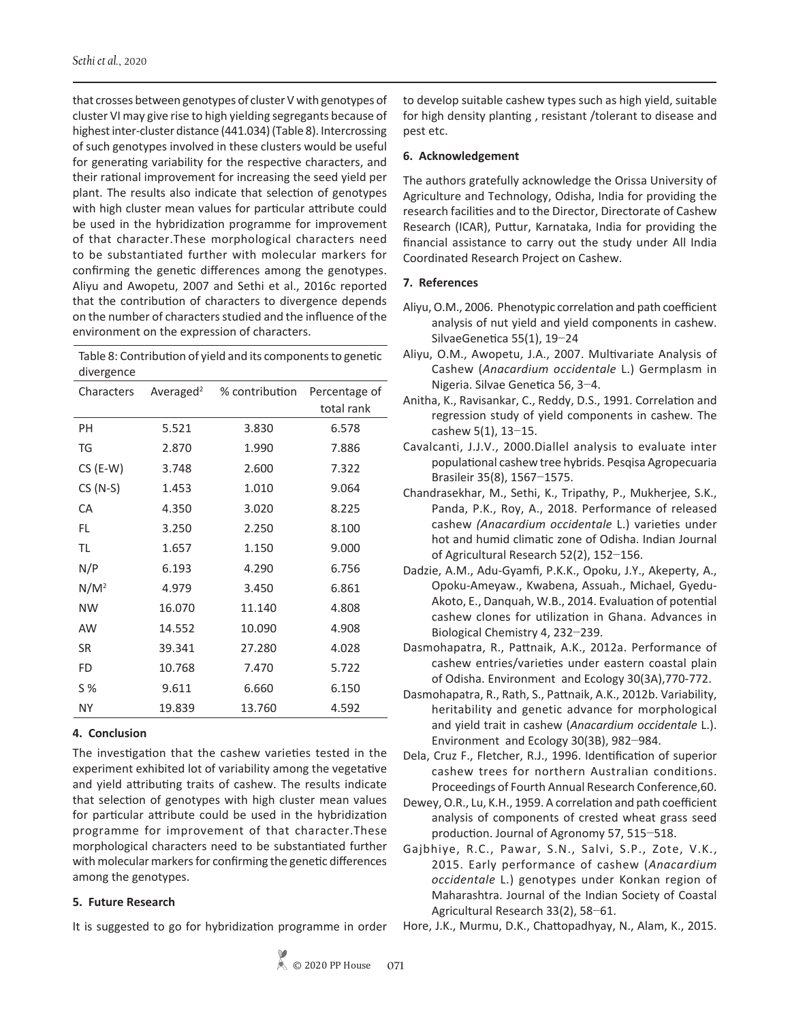that crosses between genotypes of cluster V with genotypes of cluster VI may give rise to high yielding segregants because of highest inter-cluster distance (441.034) (Table 8). Intercrossing of such genotypes involved in these clusters would be useful for generating variability for the respective characters, and their rational improvement for increasing the seed yield per plant. The results also indicate that selection of genotypes with high cluster mean values for particular attribute could be used in the hybridization programme for improvement of that character.These morphological characters need to be substantiated further with molecular markers for confirming the genetic differences among the genotypes. Aliyu and Awopetu, 2007 and Sethi et al., 2016c reported that the contribution of characters to divergence depends on the number of characters studied and the influence of the environment on the expression of characters.

Table 8: Contribution of yield and its components to genetic divergence

| Characters | Averaged <sup>2</sup> | % contribution | Percentage of<br>total rank |
|------------|-----------------------|----------------|-----------------------------|
| PH         | 5.521                 | 3.830          | 6.578                       |
| TG         | 2.870                 | 1.990          | 7.886                       |
| $CS$ (E-W) | 3.748                 | 2.600          | 7.322                       |
| $CS(N-S)$  | 1.453                 | 1.010          | 9.064                       |
| CA         | 4.350                 | 3.020          | 8.225                       |
| FL         | 3.250                 | 2.250          | 8.100                       |
| TL         | 1.657                 | 1.150          | 9.000                       |
| N/P        | 6.193                 | 4.290          | 6.756                       |
| $N/M^2$    | 4.979                 | 3.450          | 6.861                       |
| <b>NW</b>  | 16.070                | 11.140         | 4.808                       |
| <b>AW</b>  | 14.552                | 10.090         | 4.908                       |
| SR         | 39.341                | 27.280         | 4.028                       |
| FD         | 10.768                | 7.470          | 5.722                       |
| S %        | 9.611                 | 6.660          | 6.150                       |
| ΝY         | 19.839                | 13.760         | 4.592                       |

# **4. Conclusion**

The investigation that the cashew varieties tested in the experiment exhibited lot of variability among the vegetative and yield attributing traits of cashew. The results indicate that selection of genotypes with high cluster mean values for particular attribute could be used in the hybridization programme for improvement of that character.These morphological characters need to be substantiated further with molecular markers for confirming the genetic differences among the genotypes.

# **5. Future Research**

It is suggested to go for hybridization programme in order

to develop suitable cashew types such as high yield, suitable for high density planting , resistant /tolerant to disease and pest etc.

# **6. Acknowledgement**

The authors gratefully acknowledge the Orissa University of Agriculture and Technology, Odisha, India for providing the research facilities and to the Director, Directorate of Cashew Research (ICAR), Puttur, Karnataka, India for providing the financial assistance to carry out the study under All India Coordinated Research Project on Cashew.

# **7. References**

- Aliyu, O.M., 2006. Phenotypic correlation and path coefficient analysis of nut yield and yield components in cashew. SilvaeGenetica 55(1), 19−24
- Aliyu, O.M., Awopetu, J.A., 2007. Multivariate Analysis of Cashew (*Anacardium occidentale* L.) Germplasm in Nigeria. Silvae Genetica 56, 3−4.
- Anitha, K., Ravisankar, C., Reddy, D.S., 1991. Correlation and regression study of yield components in cashew. The cashew 5(1), 13−15.
- Cavalcanti, J.J.V., 2000.Diallel analysis to evaluate inter populational cashew tree hybrids. Pesqisa Agropecuaria Brasileir 35(8), 1567−1575.
- Chandrasekhar, M., Sethi, K., Tripathy, P., Mukherjee, S.K., Panda, P.K., Roy, A., 2018. Performance of released cashew *(Anacardium occidentale* L.) varieties under hot and humid climatic zone of Odisha. Indian Journal of Agricultural Research 52(2), 152−156.
- Dadzie, A.M., Adu-Gyamfi, P.K.K., Opoku, J.Y., Akeperty, A., Opoku-Ameyaw., Kwabena, Assuah., Michael, Gyedu-Akoto, E., Danquah, W.B., 2014. Evaluation of potential cashew clones for utilization in Ghana. Advances in Biological Chemistry 4, 232−239.
- Dasmohapatra, R., Pattnaik, A.K., 2012a. Performance of cashew entries/varieties under eastern coastal plain of Odisha. Environment and Ecology 30(3A),770-772.
- Dasmohapatra, R., Rath, S., Pattnaik, A.K., 2012b. Variability, heritability and genetic advance for morphological and yield trait in cashew (*Anacardium occidentale* L.). Environment and Ecology 30(3B), 982−984.
- Dela, Cruz F., Fletcher, R.J., 1996. Identification of superior cashew trees for northern Australian conditions. Proceedings of Fourth Annual Research Conference,60.
- Dewey, O.R., Lu, K.H., 1959. A correlation and path coefficient analysis of components of crested wheat grass seed production. Journal of Agronomy 57, 515−518.
- Gajbhiye, R.C., Pawar, S.N., Salvi, S.P., Zote, V.K., 2015. Early performance of cashew (*Anacardium occidentale* L.) genotypes under Konkan region of Maharashtra. Journal of the Indian Society of Coastal Agricultural Research 33(2), 58−61.
- Hore, J.K., Murmu, D.K., Chattopadhyay, N., Alam, K., 2015.